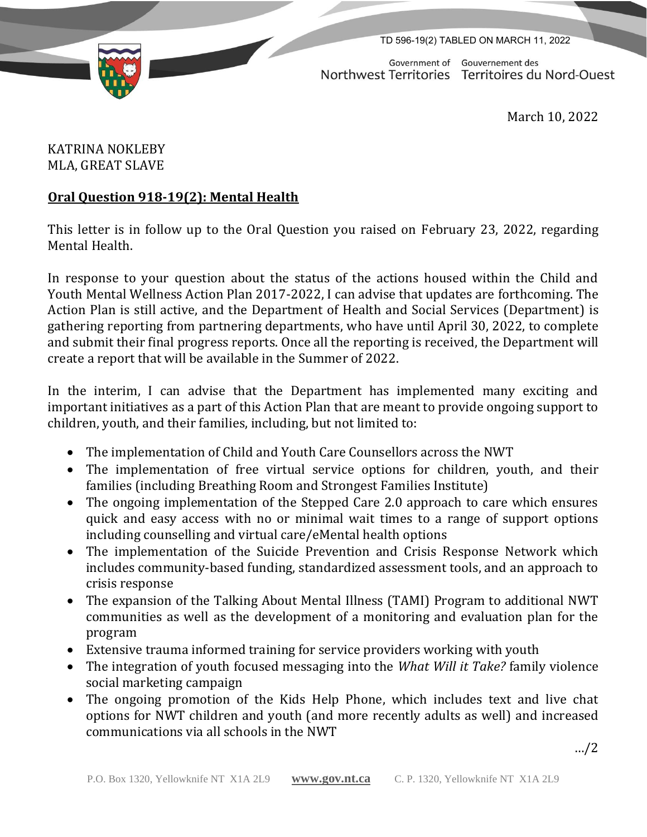TD 596-19(2) TABLED ON MARCH 11, 2022

Government of Gouvernement des Northwest Territories Territoires du Nord-Ouest

March 10, 2022

KATRINA NOKLEBY MLA, GREAT SLAVE

## **Oral Question 918-19(2): Mental Health**

This letter is in follow up to the Oral Question you raised on February 23, 2022, regarding Mental Health.

In response to your question about the status of the actions housed within the Child and Youth Mental Wellness Action Plan 2017-2022, I can advise that updates are forthcoming. The Action Plan is still active, and the Department of Health and Social Services (Department) is gathering reporting from partnering departments, who have until April 30, 2022, to complete and submit their final progress reports. Once all the reporting is received, the Department will create a report that will be available in the Summer of 2022.

In the interim, I can advise that the Department has implemented many exciting and important initiatives as a part of this Action Plan that are meant to provide ongoing support to children, youth, and their families, including, but not limited to:

- The implementation of Child and Youth Care Counsellors across the NWT
- The implementation of free virtual service options for children, youth, and their families (including Breathing Room and Strongest Families Institute)
- The ongoing implementation of the Stepped Care 2.0 approach to care which ensures quick and easy access with no or minimal wait times to a range of support options including counselling and virtual care/eMental health options
- The implementation of the Suicide Prevention and Crisis Response Network which includes community-based funding, standardized assessment tools, and an approach to crisis response
- The expansion of the Talking About Mental Illness (TAMI) Program to additional NWT communities as well as the development of a monitoring and evaluation plan for the program
- Extensive trauma informed training for service providers working with youth
- The integration of youth focused messaging into the *What Will it Take?* family violence social marketing campaign
- The ongoing promotion of the Kids Help Phone, which includes text and live chat options for NWT children and youth (and more recently adults as well) and increased communications via all schools in the NWT

…/2